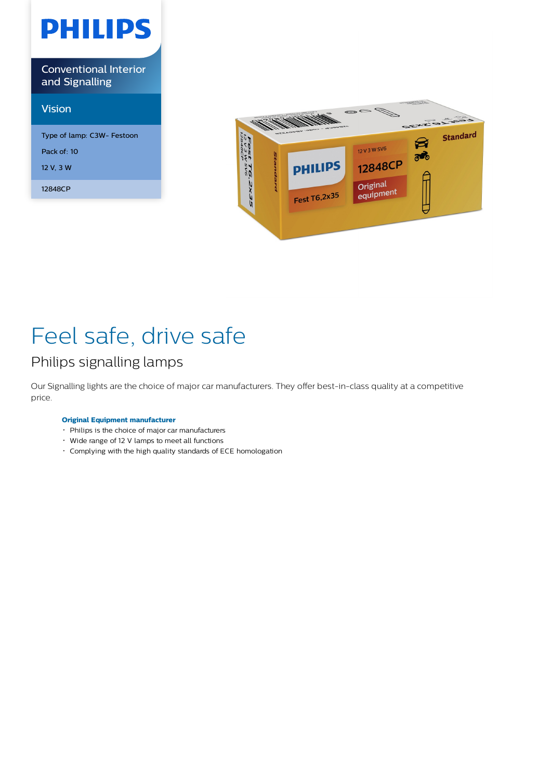# **PHILIPS**

Conventional Interior and Signalling

## Vision

| Type of lamp: C3W- Festoon |
|----------------------------|
| Pack of: 10                |
| 12 V, 3 W                  |
| 12848CP                    |



## Feel safe, drive safe

## Philips signalling lamps

Our Signalling lights are the choice of major car manufacturers. They offer best-in-class quality at a competitive price.

## **Original Equipment manufacturer**

- Philips is the choice of major car manufacturers
- Wide range of 12 V lamps to meet all functions
- Complying with the high quality standards of ECE homologation